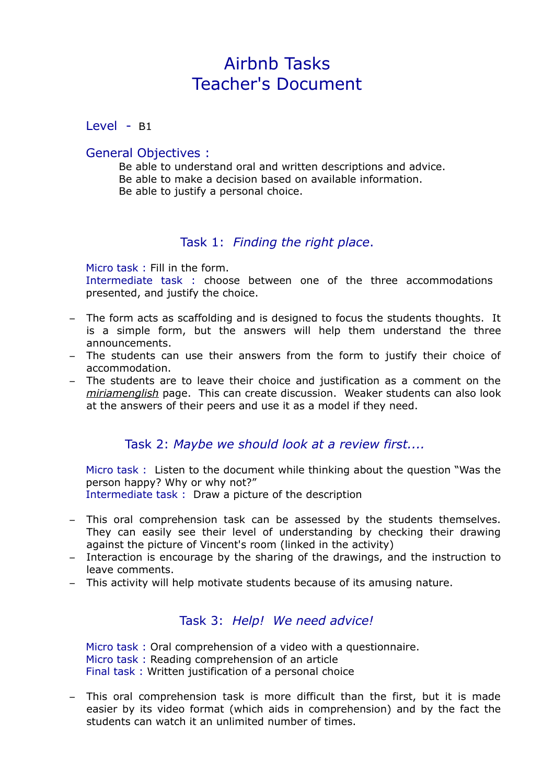# Airbnb Tasks Teacher's Document

Level - B1

#### General Objectives :

Be able to understand oral and written descriptions and advice. Be able to make a decision based on available information. Be able to justify a personal choice.

### Task 1: *Finding the right place*.

Micro task : Fill in the form. Intermediate task : choose between one of the three accommodations presented, and justify the choice.

- The form acts as scaffolding and is designed to focus the students thoughts. It is a simple form, but the answers will help them understand the three announcements.
- The students can use their answers from the form to justify their choice of accommodation.
- The students are to leave their choice and justification as a comment on the *miriamenglish* page. This can create discussion. Weaker students can also look at the answers of their peers and use it as a model if they need.

#### Task 2: *Maybe we should look at a review first....*

Micro task : Listen to the document while thinking about the question "Was the person happy? Why or why not?" Intermediate task : Draw a picture of the description

- This oral comprehension task can be assessed by the students themselves. They can easily see their level of understanding by checking their drawing against the picture of Vincent's room (linked in the activity)
- Interaction is encourage by the sharing of the drawings, and the instruction to leave comments.
- This activity will help motivate students because of its amusing nature.

## Task 3: *Help! We need advice!*

Micro task : Oral comprehension of a video with a questionnaire. Micro task : Reading comprehension of an article Final task : Written justification of a personal choice

– This oral comprehension task is more difficult than the first, but it is made easier by its video format (which aids in comprehension) and by the fact the students can watch it an unlimited number of times.